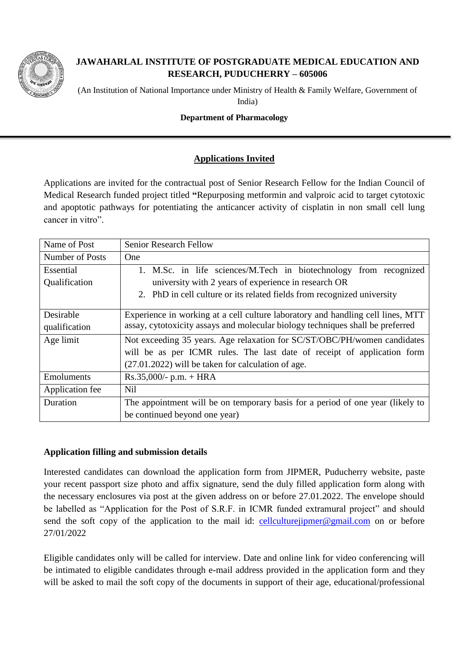

# **JAWAHARLAL INSTITUTE OF POSTGRADUATE MEDICAL EDUCATION AND RESEARCH, PUDUCHERRY – 605006**

(An Institution of National Importance under Ministry of Health & Family Welfare, Government of India)

#### **Department of Pharmacology**

## **Applications Invited**

Applications are invited for the contractual post of Senior Research Fellow for the Indian Council of Medical Research funded project titled **"**Repurposing metformin and valproic acid to target cytotoxic and apoptotic pathways for potentiating the anticancer activity of cisplatin in non small cell lung cancer in vitro".

| Name of Post    | <b>Senior Research Fellow</b>                                                   |
|-----------------|---------------------------------------------------------------------------------|
| Number of Posts | <b>One</b>                                                                      |
| Essential       | 1. M.Sc. in life sciences/M.Tech in biotechnology from recognized               |
| Qualification   | university with 2 years of experience in research OR                            |
|                 | 2. PhD in cell culture or its related fields from recognized university         |
| Desirable       | Experience in working at a cell culture laboratory and handling cell lines, MTT |
| qualification   | assay, cytotoxicity assays and molecular biology techniques shall be preferred  |
| Age limit       | Not exceeding 35 years. Age relaxation for SC/ST/OBC/PH/women candidates        |
|                 | will be as per ICMR rules. The last date of receipt of application form         |
|                 | $(27.01.2022)$ will be taken for calculation of age.                            |
| Emoluments      | $Rs.35,000/- p.m. + HRA$                                                        |
| Application fee | <b>Nil</b>                                                                      |
| Duration        | The appointment will be on temporary basis for a period of one year (likely to  |
|                 | be continued beyond one year)                                                   |

### **Application filling and submission details**

Interested candidates can download the application form from JIPMER, Puducherry website, paste your recent passport size photo and affix signature, send the duly filled application form along with the necessary enclosures via post at the given address on or before 27.01.2022. The envelope should be labelled as "Application for the Post of S.R.F. in ICMR funded extramural project" and should send the soft copy of the application to the mail id:  $\frac{\text{cell culturejipmer@gmail.com}}{\text{cellcuturejipmer@gmail.com}}$  on or before 27/01/2022

Eligible candidates only will be called for interview. Date and online link for video conferencing will be intimated to eligible candidates through e-mail address provided in the application form and they will be asked to mail the soft copy of the documents in support of their age, educational/professional